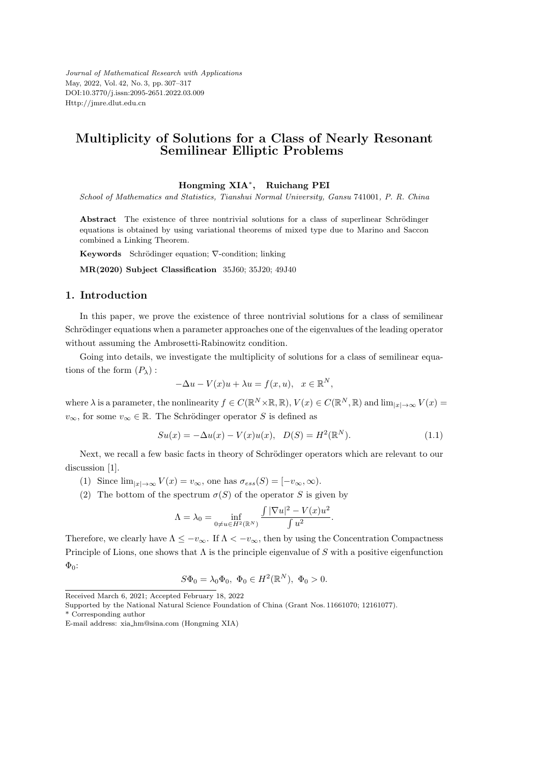*Journal of Mathematical Research with Applications* May, 2022, Vol. 42, No. 3, pp. 307–317 DOI:10.3770/j.issn:2095-2651.2022.03.009 Http://jmre.dlut.edu.cn

## **Multiplicity of Solutions for a Class of Nearly Resonant Semilinear Elliptic Problems**

#### **Hongming XIA***<sup>∗</sup>* **, Ruichang PEI**

*School of Mathematics and Statistics, Tianshui Normal University, Gansu* 741001*, P. R. China*

Abstract The existence of three nontrivial solutions for a class of superlinear Schrödinger equations is obtained by using variational theorems of mixed type due to Marino and Saccon combined a Linking Theorem.

Keywords Schrödinger equation;  $∇$ -condition; linking

**MR(2020) Subject Classification** 35J60; 35J20; 49J40

### **1. Introduction**

In this paper, we prove the existence of three nontrivial solutions for a class of semilinear Schrödinger equations when a parameter approaches one of the eigenvalues of the leading operator without assuming the Ambrosetti-Rabinowitz condition.

Going into details, we investigate the multiplicity of solutions for a class of semilinear equations of the form  $(P_\lambda)$ :

$$
-\Delta u - V(x)u + \lambda u = f(x, u), \quad x \in \mathbb{R}^N,
$$

where  $\lambda$  is a parameter, the nonlinearity  $f \in C(\mathbb{R}^N \times \mathbb{R}, \mathbb{R})$ ,  $V(x) \in C(\mathbb{R}^N, \mathbb{R})$  and  $\lim_{|x| \to \infty} V(x) =$ *v*<sub>∞</sub>, for some *v*<sub>∞</sub>  $\in \mathbb{R}$ . The Schrödinger operator *S* is defined as

$$
Su(x) = -\Delta u(x) - V(x)u(x), \quad D(S) = H^{2}(\mathbb{R}^{N}).
$$
\n(1.1)

Next, we recall a few basic facts in theory of Schrödinger operators which are relevant to our discussion [1].

(1) Since  $\lim_{|x| \to \infty} V(x) = v_{\infty}$ , one has  $\sigma_{ess}(S) = [-v_{\infty}, \infty)$ .

(2) The bottom of the spectrum  $\sigma(S)$  of the operator *S* is given by

$$
\Lambda = \lambda_0 = \inf_{0 \neq u \in H^2(\mathbb{R}^N)} \frac{\int |\nabla u|^2 - V(x)u^2}{\int u^2}.
$$

Therefore, we clearly have  $\Lambda \leq -v_{\infty}$ . If  $\Lambda \leq -v_{\infty}$ , then by using the Concentration Compactness Principle of Lions, one shows that Λ is the principle eigenvalue of *S* with a positive eigenfunction  $\Phi_0$ :

$$
S\Phi_0 = \lambda_0 \Phi_0, \ \Phi_0 \in H^2(\mathbb{R}^N), \ \Phi_0 > 0.
$$

\* Corresponding author

Received March 6, 2021; Accepted February 18, 2022

Supported by the National Natural Science Foundation of China (Grant Nos. 11661070; 12161077).

E-mail address: xia hm@sina.com (Hongming XIA)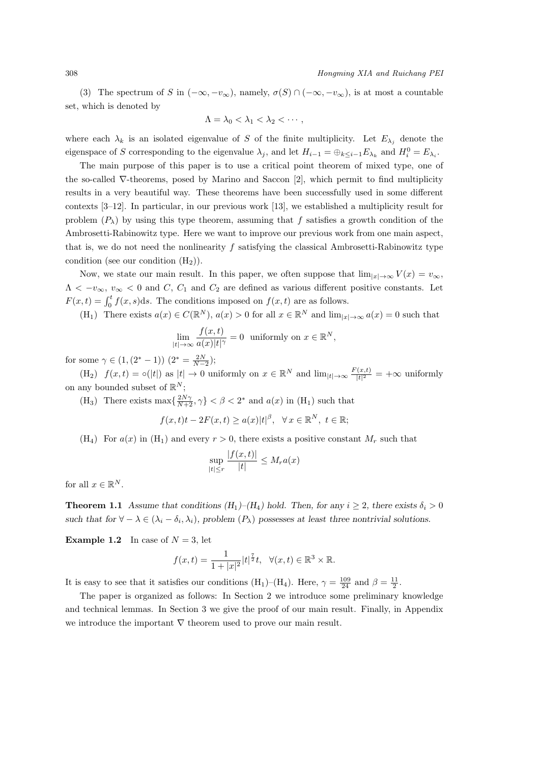(3) The spectrum of *S* in  $(-\infty, -v_{\infty})$ , namely,  $\sigma(S) \cap (-\infty, -v_{\infty})$ , is at most a countable set, which is denoted by

$$
\Lambda = \lambda_0 < \lambda_1 < \lambda_2 < \cdots,
$$

where each  $\lambda_k$  is an isolated eigenvalue of *S* of the finite multiplicity. Let  $E_{\lambda_j}$  denote the eigenspace of S corresponding to the eigenvalue  $\lambda_j$ , and let  $H_{i-1} = \bigoplus_{k \leq i-1} E_{\lambda_k}$  and  $H_i^0 = E_{\lambda_i}$ .

The main purpose of this paper is to use a critical point theorem of mixed type, one of the so-called *∇*-theorems, posed by Marino and Saccon [2], which permit to find multiplicity results in a very beautiful way. These theorems have been successfully used in some different contexts [3–12]. In particular, in our previous work [13], we established a multiplicity result for problem  $(P_\lambda)$  by using this type theorem, assuming that f satisfies a growth condition of the Ambrosetti-Rabinowitz type. Here we want to improve our previous work from one main aspect, that is, we do not need the nonlinearity *f* satisfying the classical Ambrosetti-Rabinowitz type condition (see our condition  $(H_2)$ ).

Now, we state our main result. In this paper, we often suppose that  $\lim_{|x| \to \infty} V(x) = v_{\infty}$ ,  $\Lambda < -v_{\infty}, v_{\infty} < 0$  and *C*, *C*<sub>1</sub> and *C*<sub>2</sub> are defined as various different positive constants. Let  $F(x,t) = \int_0^t f(x,s)ds$ . The conditions imposed on  $f(x,t)$  are as follows.

(H<sub>1</sub>) There exists  $a(x) \in C(\mathbb{R}^N)$ ,  $a(x) > 0$  for all  $x \in \mathbb{R}^N$  and  $\lim_{|x| \to \infty} a(x) = 0$  such that

$$
\lim_{|t| \to \infty} \frac{f(x,t)}{a(x)|t|^\gamma} = 0 \text{ uniformly on } x \in \mathbb{R}^N,
$$

for some  $\gamma \in (1, (2^* - 1))$   $(2^* = \frac{2N}{N-2});$ 

 $f(x, t) = o(|t|)$  as  $|t| \to 0$  uniformly on  $x \in \mathbb{R}^N$  and  $\lim_{|t| \to \infty} \frac{F(x,t)}{|t|^2}$  $\frac{f(x,t)}{|t|^2}$  =  $+\infty$  uniformly on any bounded subset of  $\mathbb{R}^N$ ;

(H<sub>3</sub>) There exists max $\{\frac{2N\gamma}{N+2}, \gamma\} < \beta < 2^*$  and  $a(x)$  in (H<sub>1</sub>) such that

$$
f(x,t)t - 2F(x,t) \ge a(x)|t|^{\beta}, \quad \forall x \in \mathbb{R}^N, \ t \in \mathbb{R};
$$

(H<sub>4</sub>) For  $a(x)$  in (H<sub>1</sub>) and every  $r > 0$ , there exists a positive constant  $M_r$  such that

$$
\sup_{|t| \le r} \frac{|f(x,t)|}{|t|} \le M_r a(x)
$$

for all  $x \in \mathbb{R}^N$ .

**Theorem 1.1** *Assume that conditions*  $(H_1)$ – $(H_4)$  hold. Then, for any  $i \geq 2$ , there exists  $\delta_i \geq 0$ *such that for*  $\forall - \lambda \in (\lambda_i - \delta_i, \lambda_i)$ , problem  $(P_\lambda)$  possesses at least three nontrivial solutions.

**Example 1.2** In case of  $N = 3$ , let

$$
f(x,t) = \frac{1}{1+|x|^2}|t|^{\frac{7}{2}}t, \ \ \forall (x,t) \in \mathbb{R}^3 \times \mathbb{R}.
$$

It is easy to see that it satisfies our conditions  $(H_1)$ – $(H_4)$ . Here,  $\gamma = \frac{109}{24}$  and  $\beta = \frac{11}{2}$ .

The paper is organized as follows: In Section 2 we introduce some preliminary knowledge and technical lemmas. In Section 3 we give the proof of our main result. Finally, in Appendix we introduce the important *∇* theorem used to prove our main result.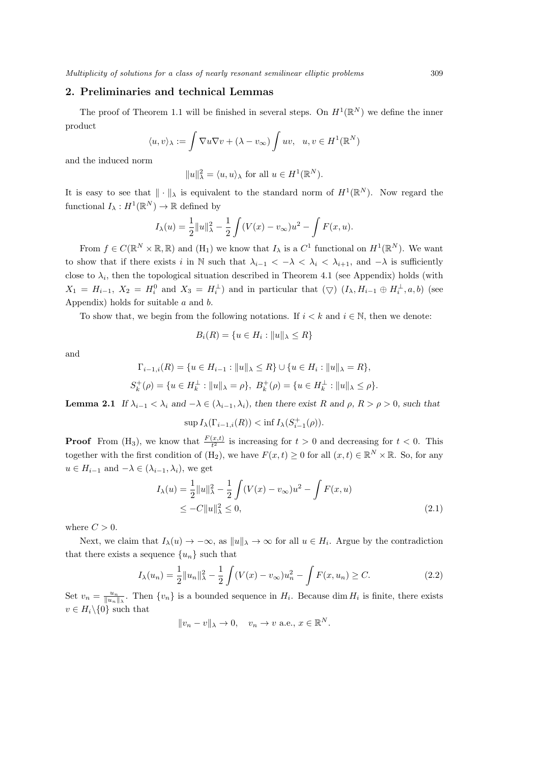#### **2. Preliminaries and technical Lemmas**

The proof of Theorem 1.1 will be finished in several steps. On  $H^1(\mathbb{R}^N)$  we define the inner product

$$
\langle u, v \rangle_{\lambda} := \int \nabla u \nabla v + (\lambda - v_{\infty}) \int uv, \ u, v \in H^{1}(\mathbb{R}^{N})
$$

and the induced norm

$$
||u||_{\lambda}^{2} = \langle u, u \rangle_{\lambda} \text{ for all } u \in H^{1}(\mathbb{R}^{N}).
$$

It is easy to see that  $\|\cdot\|_{\lambda}$  is equivalent to the standard norm of  $H^1(\mathbb{R}^N)$ . Now regard the functional  $I_{\lambda}: H^{1}(\mathbb{R}^{N}) \to \mathbb{R}$  defined by

$$
I_{\lambda}(u) = \frac{1}{2} ||u||_{\lambda}^{2} - \frac{1}{2} \int (V(x) - v_{\infty})u^{2} - \int F(x, u).
$$

From  $f \in C(\mathbb{R}^N \times \mathbb{R}, \mathbb{R})$  and  $(H_1)$  we know that  $I_\lambda$  is a  $C^1$  functional on  $H^1(\mathbb{R}^N)$ . We want to show that if there exists *i* in N such that  $\lambda_{i-1} < -\lambda < \lambda_i < \lambda_{i+1}$ , and  $-\lambda$  is sufficiently close to  $\lambda_i$ , then the topological situation described in Theorem 4.1 (see Appendix) holds (with  $X_1 = H_{i-1}$ ,  $X_2 = H_i^0$  and  $X_3 = H_i^{\perp}$  and in particular that  $(\nabla)$   $(I_{\lambda}, H_{i-1} \oplus H_i^{\perp}, a, b)$  (see Appendix) holds for suitable *a* and *b*.

To show that, we begin from the following notations. If  $i < k$  and  $i \in \mathbb{N}$ , then we denote:

$$
B_i(R) = \{ u \in H_i : ||u||_{\lambda} \le R \}
$$

and

$$
\Gamma_{i-1,i}(R) = \{ u \in H_{i-1} : ||u||_{\lambda} \le R \} \cup \{ u \in H_i : ||u||_{\lambda} = R \},
$$
  

$$
S_k^+(\rho) = \{ u \in H_k^\perp : ||u||_{\lambda} = \rho \}, B_k^+(\rho) = \{ u \in H_k^\perp : ||u||_{\lambda} \le \rho \}.
$$

**Lemma 2.1** If  $\lambda_{i-1} < \lambda_i$  and  $-\lambda \in (\lambda_{i-1}, \lambda_i)$ , then there exist R and  $\rho$ ,  $R > \rho > 0$ , such that

$$
\sup I_{\lambda}(\Gamma_{i-1,i}(R)) < \inf I_{\lambda}(S_{i-1}^{+}(\rho)).
$$

**Proof** From  $(H_3)$ , we know that  $\frac{F(x,t)}{t^2}$  is increasing for  $t > 0$  and decreasing for  $t < 0$ . This together with the first condition of  $(H_2)$ , we have  $F(x, t) \ge 0$  for all  $(x, t) \in \mathbb{R}^N \times \mathbb{R}$ . So, for any  $u \in H_{i-1}$  and  $-\lambda \in (\lambda_{i-1}, \lambda_i)$ , we get

$$
I_{\lambda}(u) = \frac{1}{2} ||u||_{\lambda}^{2} - \frac{1}{2} \int (V(x) - v_{\infty})u^{2} - \int F(x, u)
$$
  
 
$$
\leq -C ||u||_{\lambda}^{2} \leq 0,
$$
 (2.1)

where  $C > 0$ .

Next, we claim that  $I_\lambda(u) \to -\infty$ , as  $||u||_\lambda \to \infty$  for all  $u \in H_i$ . Argue by the contradiction that there exists a sequence  $\{u_n\}$  such that

$$
I_{\lambda}(u_{n}) = \frac{1}{2}||u_{n}||_{\lambda}^{2} - \frac{1}{2}\int (V(x) - v_{\infty})u_{n}^{2} - \int F(x, u_{n}) \ge C.
$$
 (2.2)

Set  $v_n = \frac{u_n}{\|u_n\|_{\lambda}}$ . Then  $\{v_n\}$  is a bounded sequence in  $H_i$ . Because dim  $H_i$  is finite, there exists  $v \in H_i \backslash \{0\}$  such that

$$
||v_n - v||_{\lambda} \to 0, \quad v_n \to v \text{ a.e., } x \in \mathbb{R}^N.
$$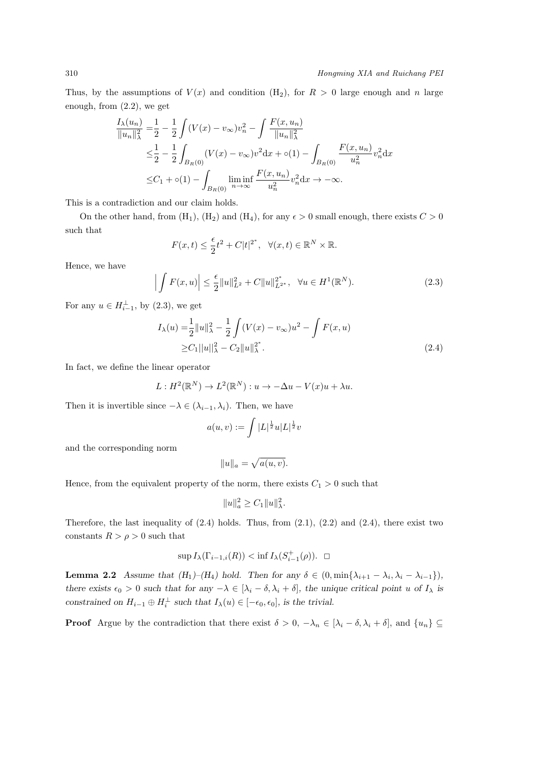Thus, by the assumptions of  $V(x)$  and condition  $(H_2)$ , for  $R > 0$  large enough and *n* large enough, from (2.2), we get

$$
\frac{I_{\lambda}(u_{n})}{\|u_{n}\|_{\lambda}^{2}} = \frac{1}{2} - \frac{1}{2} \int (V(x) - v_{\infty})v_{n}^{2} - \int \frac{F(x, u_{n})}{\|u_{n}\|_{\lambda}^{2}} \leq \frac{1}{2} - \frac{1}{2} \int_{B_{R}(0)} (V(x) - v_{\infty})v^{2} dx + o(1) - \int_{B_{R}(0)} \frac{F(x, u_{n})}{u_{n}^{2}} v_{n}^{2} dx \n\leq C_{1} + o(1) - \int_{B_{R}(0)} \liminf_{n \to \infty} \frac{F(x, u_{n})}{u_{n}^{2}} v_{n}^{2} dx \to -\infty.
$$

This is a contradiction and our claim holds.

On the other hand, from  $(H_1)$ ,  $(H_2)$  and  $(H_4)$ , for any  $\epsilon > 0$  small enough, there exists  $C > 0$ such that

$$
F(x,t) \le \frac{\epsilon}{2}t^2 + C|t|^{2^*}, \quad \forall (x,t) \in \mathbb{R}^N \times \mathbb{R}.
$$

Hence, we have

$$
\left| \int F(x, u) \right| \leq \frac{\epsilon}{2} \|u\|_{L^2}^2 + C \|u\|_{L^{2^*}}^{2^*}, \quad \forall u \in H^1(\mathbb{R}^N). \tag{2.3}
$$

For any  $u \in H_{i-1}^{\perp}$ , by (2.3), we get

$$
I_{\lambda}(u) = \frac{1}{2} ||u||_{\lambda}^{2} - \frac{1}{2} \int (V(x) - v_{\infty})u^{2} - \int F(x, u)
$$
  
\n
$$
\geq C_{1} ||u||_{\lambda}^{2} - C_{2} ||u||_{\lambda}^{2}.
$$
\n(2.4)

In fact, we define the linear operator

$$
L: H^2(\mathbb{R}^N) \to L^2(\mathbb{R}^N): u \to -\Delta u - V(x)u + \lambda u.
$$

Then it is invertible since  $-\lambda \in (\lambda_{i-1}, \lambda_i)$ . Then, we have

$$
a(u, v) := \int |L|^{\frac{1}{2}} u |L|^{\frac{1}{2}} v
$$

and the corresponding norm

$$
||u||_a = \sqrt{a(u,v)}.
$$

Hence, from the equivalent property of the norm, there exists  $C_1 > 0$  such that

$$
||u||_a^2 \ge C_1 ||u||_{\lambda}^2.
$$

Therefore, the last inequality of  $(2.4)$  holds. Thus, from  $(2.1)$ ,  $(2.2)$  and  $(2.4)$ , there exist two constants  $R > \rho > 0$  such that

$$
\sup I_{\lambda}(\Gamma_{i-1,i}(R)) < \inf I_{\lambda}(S_{i-1}^+(\rho)). \quad \Box
$$

**Lemma 2.2** Assume that  $(H_1)$ - $(H_4)$  hold. Then for any  $\delta \in (0, \min{\lambda_{i+1} - \lambda_i, \lambda_i - \lambda_{i-1}})$ , there exists  $\epsilon_0 > 0$  such that for any  $-\lambda \in [\lambda_i - \delta, \lambda_i + \delta]$ , the unique critical point u of  $I_\lambda$  is *constrained on*  $H_{i-1} \oplus H_i^{\perp}$  *such that*  $I_{\lambda}(u) \in [-\epsilon_0, \epsilon_0]$ *, is the trivial.* 

**Proof** Argue by the contradiction that there exist  $\delta > 0$ ,  $-\lambda_n \in [\lambda_i - \delta, \lambda_i + \delta]$ , and  $\{u_n\} \subseteq$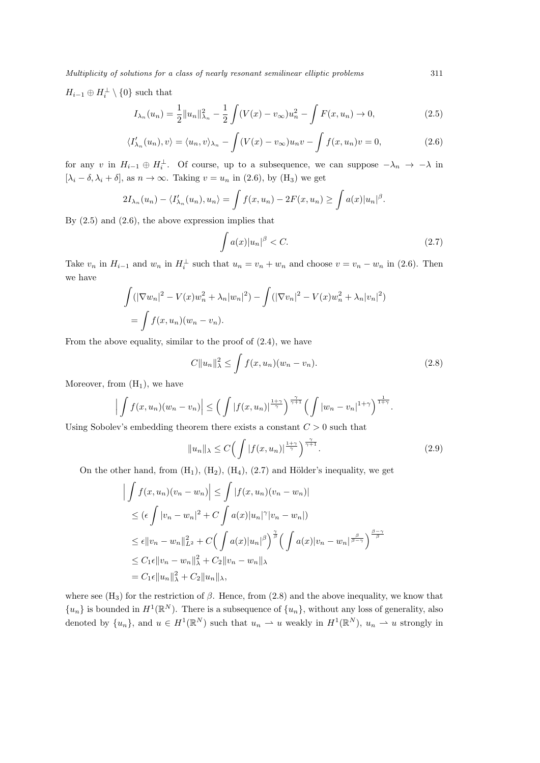*Multiplicity of solutions for a class of nearly resonant semilinear elliptic problems* 311

 $H_{i-1} \oplus H_i^{\perp} \setminus \{0\}$  such that

$$
I_{\lambda_n}(u_n) = \frac{1}{2} ||u_n||_{\lambda_n}^2 - \frac{1}{2} \int (V(x) - v_{\infty}) u_n^2 - \int F(x, u_n) \to 0,
$$
\n(2.5)

$$
\langle I'_{\lambda_n}(u_n), v \rangle = \langle u_n, v \rangle_{\lambda_n} - \int (V(x) - v_{\infty}) u_n v - \int f(x, u_n) v = 0,
$$
\n(2.6)

for any *v* in  $H_{i-1} \oplus H_i^{\perp}$ . Of course, up to a subsequence, we can suppose  $-\lambda_n \to -\lambda$  in  $[\lambda_i - \delta, \lambda_i + \delta]$ , as  $n \to \infty$ . Taking  $v = u_n$  in (2.6), by (H<sub>3</sub>) we get

$$
2I_{\lambda_n}(u_n) - \langle I'_{\lambda_n}(u_n), u_n \rangle = \int f(x, u_n) - 2F(x, u_n) \ge \int a(x)|u_n|^{\beta}.
$$

By  $(2.5)$  and  $(2.6)$ , the above expression implies that

$$
\int a(x)|u_n|^{\beta} < C. \tag{2.7}
$$

Take  $v_n$  in  $H_{i-1}$  and  $w_n$  in  $H_i^{\perp}$  such that  $u_n = v_n + w_n$  and choose  $v = v_n - w_n$  in (2.6). Then we have

$$
\int (|\nabla w_n|^2 - V(x)w_n^2 + \lambda_n |w_n|^2) - \int (|\nabla v_n|^2 - V(x)w_n^2 + \lambda_n |v_n|^2)
$$
  
= 
$$
\int f(x, u_n)(w_n - v_n).
$$

From the above equality, similar to the proof of (2.4), we have

$$
C||u_n||_{\lambda}^2 \le \int f(x, u_n)(w_n - v_n). \tag{2.8}
$$

Moreover, from  $(H_1)$ , we have

$$
\left|\int f(x,u_n)(w_n-v_n)\right| \leq \left(\int |f(x,u_n)|^{\frac{1+\gamma}{\gamma}}\right)^{\frac{\gamma}{\gamma+1}} \left(\int |w_n-v_n|^{1+\gamma}\right)^{\frac{1}{1+\gamma}}.
$$

Using Sobolev's embedding theorem there exists a constant *C >* 0 such that

$$
||u_n||_{\lambda} \le C \Big( \int |f(x, u_n)|^{\frac{1+\gamma}{\gamma}} \Big)^{\frac{\gamma}{\gamma+1}}.
$$
\n(2.9)

On the other hand, from  $(H_1)$ ,  $(H_2)$ ,  $(H_4)$ ,  $(2.7)$  and Hölder's inequality, we get

$$
\left| \int f(x, u_n)(v_n - w_n) \right| \leq \int |f(x, u_n)(v_n - w_n)|
$$
  
\n
$$
\leq (\epsilon \int |v_n - w_n|^2 + C \int a(x)|u_n|^{\gamma} |v_n - w_n|)
$$
  
\n
$$
\leq \epsilon \|v_n - w_n\|_{L^2}^2 + C \Big(\int a(x)|u_n|^{\beta}\Big)^{\frac{\gamma}{\beta}} \Big(\int a(x)|v_n - w_n|^{\frac{\beta}{\beta - \gamma}}\Big)^{\frac{\beta - \gamma}{\beta}}
$$
  
\n
$$
\leq C_1 \epsilon \|v_n - w_n\|_{\lambda}^2 + C_2 \|v_n - w_n\|_{\lambda}
$$
  
\n
$$
= C_1 \epsilon \|u_n\|_{\lambda}^2 + C_2 \|u_n\|_{\lambda},
$$

where see  $(H_3)$  for the restriction of  $\beta$ . Hence, from (2.8) and the above inequality, we know that  ${u_n}$  is bounded in  $H^1(\mathbb{R}^N)$ . There is a subsequence of  ${u_n}$ , without any loss of generality, also denoted by  $\{u_n\}$ , and  $u \in H^1(\mathbb{R}^N)$  such that  $u_n \rightharpoonup u$  weakly in  $H^1(\mathbb{R}^N)$ ,  $u_n \rightharpoonup u$  strongly in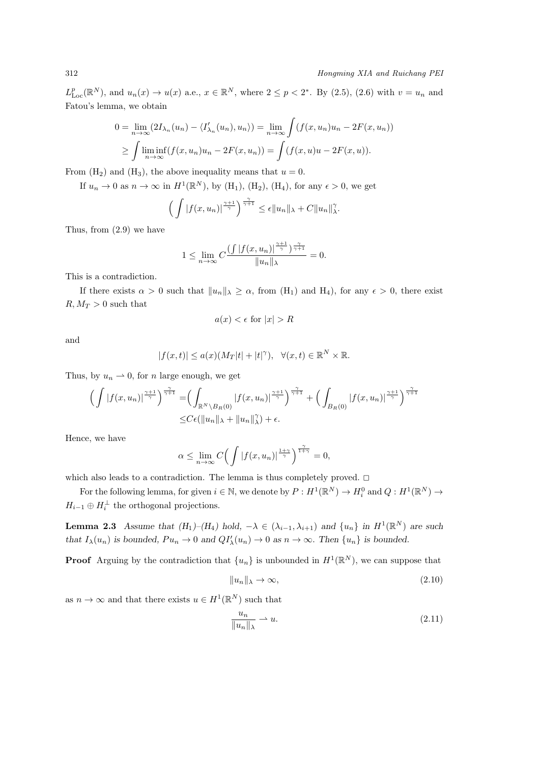$L_{\text{Loc}}^p(\mathbb{R}^N)$ , and  $u_n(x) \to u(x)$  a.e.,  $x \in \mathbb{R}^N$ , where  $2 \leq p < 2^*$ . By (2.5), (2.6) with  $v = u_n$  and Fatou's lemma, we obtain

$$
0 = \lim_{n \to \infty} (2I_{\lambda_n}(u_n) - \langle I'_{\lambda_n}(u_n), u_n \rangle) = \lim_{n \to \infty} \int (f(x, u_n)u_n - 2F(x, u_n))
$$
  
\n
$$
\geq \int \liminf_{n \to \infty} (f(x, u_n)u_n - 2F(x, u_n)) = \int (f(x, u)u - 2F(x, u)).
$$

From  $(H_2)$  and  $(H_3)$ , the above inequality means that  $u = 0$ .

If  $u_n \to 0$  as  $n \to \infty$  in  $H^1(\mathbb{R}^N)$ , by  $(H_1)$ ,  $(H_2)$ ,  $(H_4)$ , for any  $\epsilon > 0$ , we get

$$
\left(\int |f(x,u_n)|^{\frac{\gamma+1}{\gamma}}\right)^{\frac{\gamma}{\gamma+1}} \leq \epsilon \|u_n\|_{\lambda} + C \|u_n\|_{\lambda}^{\gamma}.
$$

Thus, from (2.9) we have

$$
1 \leq \lim_{n \to \infty} C \frac{\left( \int |f(x, u_n)|^{\frac{\gamma}{\gamma}} \right)^{\frac{\gamma}{\gamma+1}}}{\|u_n\|_{\lambda}} = 0.
$$

This is a contradiction.

If there exists  $\alpha > 0$  such that  $||u_n||_{\lambda} \geq \alpha$ , from  $(H_1)$  and  $H_4$ ), for any  $\epsilon > 0$ , there exist  $R, M_T > 0$  such that

$$
a(x) < \epsilon \text{ for } |x| > R
$$

and

$$
|f(x,t)| \le a(x)(M_T|t|+|t|^\gamma), \quad \forall (x,t) \in \mathbb{R}^N \times \mathbb{R}.
$$

Thus, by  $u_n \rightharpoonup 0$ , for *n* large enough, we get

$$
\left(\int \left|f(x,u_n)\right|^{\frac{\gamma+1}{\gamma}}\right)^{\frac{\gamma}{\gamma+1}} = \left(\int_{\mathbb{R}^N \backslash B_R(0)} \left|f(x,u_n)\right|^{\frac{\gamma}{\gamma}}\right)^{\frac{\gamma}{\gamma+1}} + \left(\int_{B_R(0)} \left|f(x,u_n)\right|^{\frac{\gamma+1}{\gamma}}\right)^{\frac{\gamma}{\gamma+1}} \leq C\epsilon(\|u_n\|_{\lambda} + \|u_n\|_{\lambda}^{\gamma}) + \epsilon.
$$

Hence, we have

$$
\alpha \le \lim_{n \to \infty} C \Big( \int |f(x, u_n)|^{\frac{1+\gamma}{\gamma}} \Big)^{\frac{\gamma}{1+\gamma}} = 0,
$$

which also leads to a contradiction. The lemma is thus completely proved.  $\Box$ 

For the following lemma, for given  $i \in \mathbb{N}$ , we denote by  $P: H^1(\mathbb{R}^N) \to H^0_i$  and  $Q: H^1(\mathbb{R}^N) \to$  $H_{i-1} \oplus H_i^{\perp}$  the orthogonal projections.

**Lemma 2.3** Assume that  $(H_1)$ - $(H_4)$  hold,  $-\lambda \in (\lambda_{i-1}, \lambda_{i+1})$  and  $\{u_n\}$  in  $H^1(\mathbb{R}^N)$  are such that  $I_{\lambda}(u_n)$  is bounded,  $Pu_n \to 0$  and  $QI'_{\lambda}(u_n) \to 0$  as  $n \to \infty$ . Then  $\{u_n\}$  is bounded.

**Proof** Arguing by the contradiction that  $\{u_n\}$  is unbounded in  $H^1(\mathbb{R}^N)$ , we can suppose that

$$
||u_n||_{\lambda} \to \infty,\tag{2.10}
$$

as  $n \to \infty$  and that there exists  $u \in H^1(\mathbb{R}^N)$  such that

$$
\frac{u_n}{\|u_n\|_{\lambda}} \rightharpoonup u. \tag{2.11}
$$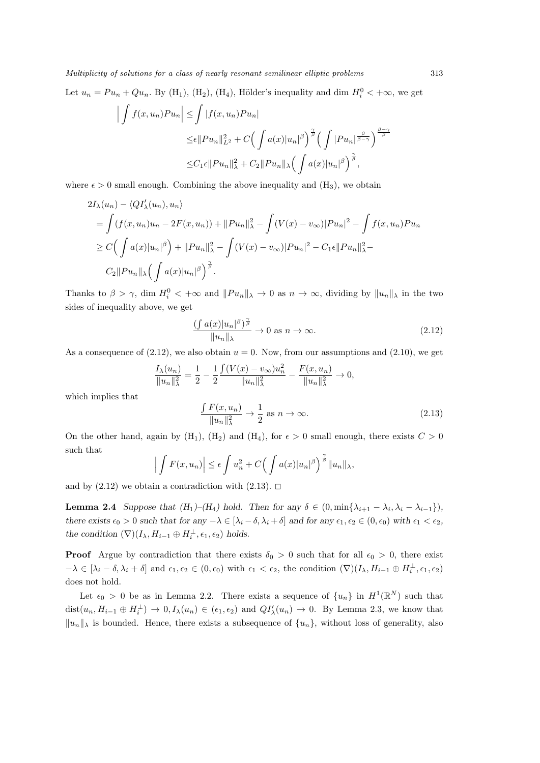*Multiplicity of solutions for a class of nearly resonant semilinear elliptic problems* 313

Let  $u_n = Pu_n + Qu_n$ . By (H<sub>1</sub>), (H<sub>2</sub>), (H<sub>4</sub>), Hölder's inequality and dim  $H_i^0 < +\infty$ , we get

$$
\left| \int f(x, u_n) P u_n \right| \leq \int |f(x, u_n) P u_n|
$$
  
\n
$$
\leq \epsilon \| P u_n \|_{L^2}^2 + C \Big( \int a(x) |u_n|^\beta \Big)^{\frac{\gamma}{\beta}} \Big( \int |P u_n|^{\frac{\beta}{\beta - \gamma}} \Big)^{\frac{\beta - \gamma}{\beta}}
$$
  
\n
$$
\leq C_1 \epsilon \| P u_n \|_{\lambda}^2 + C_2 \| P u_n \|_{\lambda} \Big( \int a(x) |u_n|^\beta \Big)^{\frac{\gamma}{\beta}},
$$

where  $\epsilon > 0$  small enough. Combining the above inequality and  $(H_3)$ , we obtain

$$
2I_{\lambda}(u_{n}) - \langle QI'_{\lambda}(u_{n}), u_{n} \rangle
$$
  
=  $\int (f(x, u_{n})u_{n} - 2F(x, u_{n})) + ||Pu_{n}||_{\lambda}^{2} - \int (V(x) - v_{\infty})|Pu_{n}|^{2} - \int f(x, u_{n})Pu_{n}$   
 $\geq C \Big( \int a(x)|u_{n}|^{\beta} \Big) + ||Pu_{n}||_{\lambda}^{2} - \int (V(x) - v_{\infty})|Pu_{n}|^{2} - C_{1}\epsilon ||Pu_{n}||_{\lambda}^{2} - C_{2}||Pu_{n}||_{\lambda} \Big( \int a(x)|u_{n}|^{\beta} \Big)^{\frac{\gamma}{\beta}}.$ 

Thanks to  $\beta > \gamma$ , dim  $H_i^0 < +\infty$  and  $||Pu_n||_{\lambda} \to 0$  as  $n \to \infty$ , dividing by  $||u_n||_{\lambda}$  in the two sides of inequality above, we get

$$
\frac{\left(\int a(x)|u_n|^{\beta}\right)^{\frac{\gamma}{\beta}}}{\|u_n\|_{\lambda}} \to 0 \text{ as } n \to \infty. \tag{2.12}
$$

As a consequence of  $(2.12)$ , we also obtain  $u = 0$ . Now, from our assumptions and  $(2.10)$ , we get

$$
\frac{I_{\lambda}(u_n)}{\|u_n\|_{\lambda}^2} = \frac{1}{2} - \frac{1}{2} \frac{\int (V(x) - v_{\infty}) u_n^2}{\|u_n\|_{\lambda}^2} - \frac{F(x, u_n)}{\|u_n\|_{\lambda}^2} \to 0,
$$

which implies that

$$
\frac{\int F(x, u_n)}{\|u_n\|_{\lambda}^2} \to \frac{1}{2} \text{ as } n \to \infty.
$$
 (2.13)

On the other hand, again by  $(H_1)$ ,  $(H_2)$  and  $(H_4)$ , for  $\epsilon > 0$  small enough, there exists  $C > 0$ such that

$$
\left| \int F(x, u_n) \right| \le \epsilon \int u_n^2 + C \Big( \int a(x) |u_n|^{\beta} \Big)^{\frac{\gamma}{\beta}} \|u_n\|_{\lambda},
$$

and by  $(2.12)$  we obtain a contradiction with  $(2.13)$ .  $\Box$ 

**Lemma 2.4** Suppose that  $(H_1)$ - $(H_4)$  hold. Then for any  $\delta \in (0, \min{\lambda_{i+1} - \lambda_i, \lambda_i - \lambda_{i-1}})$ , there exists  $\epsilon_0 > 0$  such that for any  $-\lambda \in [\lambda_i - \delta, \lambda_i + \delta]$  and for any  $\epsilon_1, \epsilon_2 \in (0, \epsilon_0)$  with  $\epsilon_1 < \epsilon_2$ , *the condition*  $(\nabla)(I_{\lambda}, H_{i-1} \oplus H_i^{\perp}, \epsilon_1, \epsilon_2)$  *holds.* 

**Proof** Argue by contradiction that there exists  $\delta_0 > 0$  such that for all  $\epsilon_0 > 0$ , there exist  $-\lambda \in [\lambda_i - \delta, \lambda_i + \delta]$  and  $\epsilon_1, \epsilon_2 \in (0, \epsilon_0)$  with  $\epsilon_1 < \epsilon_2$ , the condition  $(\nabla)(I_\lambda, H_{i-1} \oplus H_i^{\perp}, \epsilon_1, \epsilon_2)$ does not hold.

Let  $\epsilon_0 > 0$  be as in Lemma 2.2. There exists a sequence of  $\{u_n\}$  in  $H^1(\mathbb{R}^N)$  such that  $dist(u_n, H_{i-1} \oplus H_i^{\perp}) \to 0, I_{\lambda}(u_n) \in (\epsilon_1, \epsilon_2)$  and  $QI'_{\lambda}(u_n) \to 0$ . By Lemma 2.3, we know that *∣*<sup>*u<sub>n</sub>*</sub> $|$ <sup>*λ*</sup> is bounded. Hence, there exists a subsequence of  $\{u_n\}$ , without loss of generality, also</sup>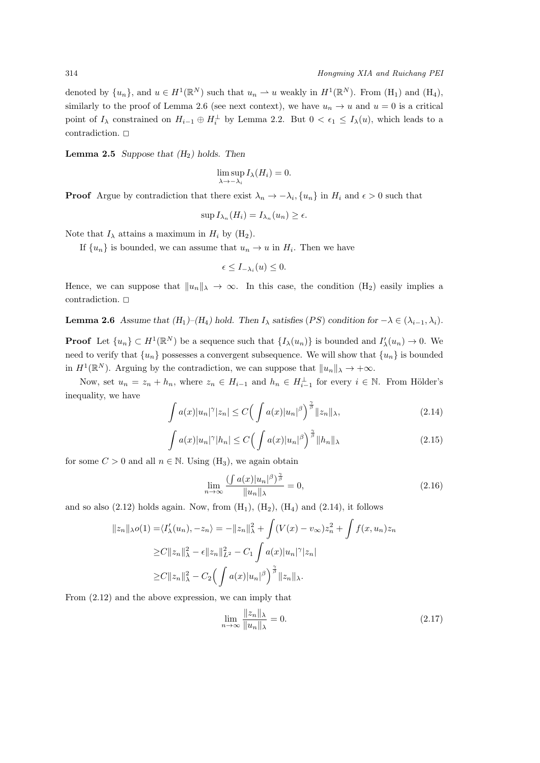denoted by  $\{u_n\}$ , and  $u \in H^1(\mathbb{R}^N)$  such that  $u_n \rightharpoonup u$  weakly in  $H^1(\mathbb{R}^N)$ . From  $(H_1)$  and  $(H_4)$ , similarly to the proof of Lemma 2.6 (see next context), we have  $u_n \to u$  and  $u = 0$  is a critical point of  $I_\lambda$  constrained on  $H_{i-1} \oplus H_i^{\perp}$  by Lemma 2.2. But  $0 < \epsilon_1 \leq I_\lambda(u)$ , which leads to a contradiction.  $\Box$ 

**Lemma 2.5** *Suppose that (H*2*) holds. Then*

$$
\limsup_{\lambda \to -\lambda_i} I_{\lambda}(H_i) = 0.
$$

**Proof** Argue by contradiction that there exist  $\lambda_n \to -\lambda_i$ ,  $\{u_n\}$  in  $H_i$  and  $\epsilon > 0$  such that

$$
\sup I_{\lambda_n}(H_i) = I_{\lambda_n}(u_n) \ge \epsilon.
$$

Note that  $I_\lambda$  attains a maximum in  $H_i$  by (H<sub>2</sub>).

If  $\{u_n\}$  is bounded, we can assume that  $u_n \to u$  in  $H_i$ . Then we have

$$
\epsilon \leq I_{-\lambda_i}(u) \leq 0.
$$

Hence, we can suppose that  $||u_n||_\lambda \to \infty$ . In this case, the condition  $(H_2)$  easily implies a contradiction.  $\square$ 

**Lemma 2.6** *Assume that*  $(H_1)$ – $(H_4)$  *hold. Then*  $I_\lambda$  *satisfies*  $(PS)$  *condition for*  $-\lambda \in (\lambda_{i-1}, \lambda_i)$ *.* 

**Proof** Let  $\{u_n\} \subset H^1(\mathbb{R}^N)$  be a sequence such that  $\{I_\lambda(u_n)\}\$ is bounded and  $I'_\lambda(u_n) \to 0$ . We need to verify that  $\{u_n\}$  possesses a convergent subsequence. We will show that  $\{u_n\}$  is bounded in  $H^1(\mathbb{R}^N)$ . Arguing by the contradiction, we can suppose that  $||u_n||_{\lambda} \to +\infty$ .

Now, set  $u_n = z_n + h_n$ , where  $z_n \in H_{i-1}$  and  $h_n \in H_{i-1}^{\perp}$  for every  $i \in \mathbb{N}$ . From Hölder's inequality, we have

$$
\int a(x)|u_n|^{\gamma}|z_n| \le C\Big(\int a(x)|u_n|^{\beta}\Big)^{\frac{\gamma}{\beta}}\|z_n\|_{\lambda},\tag{2.14}
$$

$$
\int a(x)|u_n|^{\gamma}|h_n| \le C\Big(\int a(x)|u_n|^{\beta}\Big)^{\frac{\gamma}{\beta}}\|h_n\|_{\lambda}
$$
\n(2.15)

for some  $C > 0$  and all  $n \in \mathbb{N}$ . Using  $(H_3)$ , we again obtain

$$
\lim_{n \to \infty} \frac{\left(\int a(x)|u_n|^{\beta}\right)^{\frac{\gamma}{\beta}}}{\|u_n\|_{\lambda}} = 0,
$$
\n(2.16)

and so also  $(2.12)$  holds again. Now, from  $(H_1)$ ,  $(H_2)$ ,  $(H_4)$  and  $(2.14)$ , it follows

$$
||z_n||_{\lambda}o(1) = \langle I'_{\lambda}(u_n), -z_n \rangle = -||z_n||_{\lambda}^2 + \int (V(x) - v_{\infty})z_n^2 + \int f(x, u_n)z_n
$$
  
\n
$$
\geq C||z_n||_{\lambda}^2 - \epsilon ||z_n||_{L^2}^2 - C_1 \int a(x)|u_n|^{\gamma} |z_n|
$$
  
\n
$$
\geq C||z_n||_{\lambda}^2 - C_2 \Big(\int a(x)|u_n|^{\beta}\Big)^{\frac{\gamma}{\beta}} ||z_n||_{\lambda}.
$$

From (2.12) and the above expression, we can imply that

$$
\lim_{n \to \infty} \frac{\|z_n\|_{\lambda}}{\|u_n\|_{\lambda}} = 0.
$$
\n(2.17)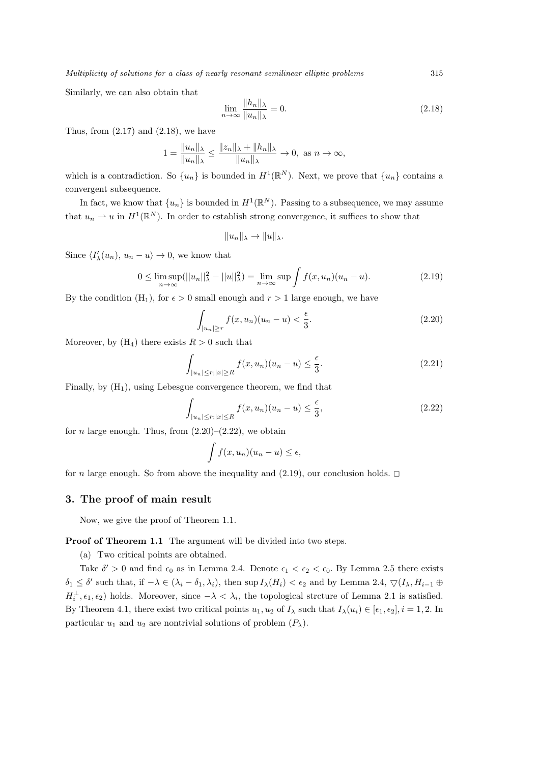Similarly, we can also obtain that

$$
\lim_{n \to \infty} \frac{\|h_n\|_{\lambda}}{\|u_n\|_{\lambda}} = 0.
$$
\n(2.18)

Thus, from  $(2.17)$  and  $(2.18)$ , we have

$$
1 = \frac{||u_n||_{\lambda}}{||u_n||_{\lambda}} \le \frac{||z_n||_{\lambda} + ||h_n||_{\lambda}}{||u_n||_{\lambda}} \to 0, \text{ as } n \to \infty,
$$

which is a contradiction. So  $\{u_n\}$  is bounded in  $H^1(\mathbb{R}^N)$ . Next, we prove that  $\{u_n\}$  contains a convergent subsequence.

In fact, we know that  $\{u_n\}$  is bounded in  $H^1(\mathbb{R}^N)$ . Passing to a subsequence, we may assume that  $u_n \rightharpoonup u$  in  $H^1(\mathbb{R}^N)$ . In order to establish strong convergence, it suffices to show that

$$
||u_n||_{\lambda} \to ||u||_{\lambda}.
$$

Since  $\langle I'_{\lambda}(u_n), u_n - u \rangle \to 0$ , we know that

$$
0 \le \limsup_{n \to \infty} (||u_n||_{\lambda}^2 - ||u||_{\lambda}^2) = \lim_{n \to \infty} \sup \int f(x, u_n)(u_n - u).
$$
 (2.19)

By the condition  $(H_1)$ , for  $\epsilon > 0$  small enough and  $r > 1$  large enough, we have

$$
\int_{|u_n| \ge r} f(x, u_n)(u_n - u) < \frac{\epsilon}{3}.\tag{2.20}
$$

Moreover, by  $(H_4)$  there exists  $R > 0$  such that

$$
\int_{|u_n| \le r; |x| \ge R} f(x, u_n)(u_n - u) \le \frac{\epsilon}{3}.
$$
\n(2.21)

Finally, by  $(H_1)$ , using Lebesgue convergence theorem, we find that

$$
\int_{|u_n| \le r; |x| \le R} f(x, u_n)(u_n - u) \le \frac{\epsilon}{3},\tag{2.22}
$$

for *n* large enough. Thus, from  $(2.20)$ – $(2.22)$ , we obtain

$$
\int f(x, u_n)(u_n - u) \le \epsilon,
$$

for *n* large enough. So from above the inequality and  $(2.19)$ , our conclusion holds.  $\Box$ 

#### **3. The proof of main result**

Now, we give the proof of Theorem 1.1.

**Proof of Theorem 1.1** The argument will be divided into two steps.

(a) Two critical points are obtained.

Take  $\delta' > 0$  and find  $\epsilon_0$  as in Lemma 2.4. Denote  $\epsilon_1 < \epsilon_2 < \epsilon_0$ . By Lemma 2.5 there exists  $\delta_1 \leq \delta'$  such that, if  $-\lambda \in (\lambda_i - \delta_1, \lambda_i)$ , then sup  $I_\lambda(H_i) < \epsilon_2$  and by Lemma 2.4,  $\bigtriangledown (I_\lambda, H_{i-1} \oplus$  $H_i^{\perp}, \epsilon_1, \epsilon_2$ ) holds. Moreover, since  $-\lambda < \lambda_i$ , the topological strcture of Lemma 2.1 is satisfied. By Theorem 4.1, there exist two critical points  $u_1, u_2$  of  $I_\lambda$  such that  $I_\lambda(u_i) \in [\epsilon_1, \epsilon_2], i = 1, 2$ . In particular  $u_1$  and  $u_2$  are nontrivial solutions of problem  $(P_\lambda)$ .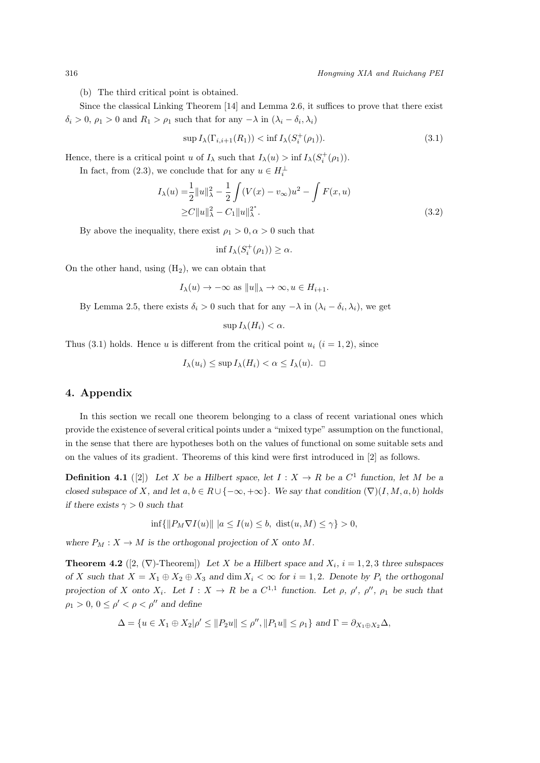(b) The third critical point is obtained.

Since the classical Linking Theorem [14] and Lemma 2.6, it suffices to prove that there exist  $\delta_i$  > 0,  $\rho_1$  > 0 and  $R_1$  >  $\rho_1$  such that for any *−λ* in  $(\lambda_i - \delta_i, \lambda_i)$ 

$$
\sup I_{\lambda}(\Gamma_{i,i+1}(R_1)) < \inf I_{\lambda}(S_i^+(\rho_1)).\tag{3.1}
$$

Hence, there is a critical point *u* of  $I_\lambda$  such that  $I_\lambda(u) > \inf I_\lambda(S_i^+(\rho_1))$ .

In fact, from (2.3), we conclude that for any  $u \in H_i^{\perp}$ 

$$
I_{\lambda}(u) = \frac{1}{2} ||u||_{\lambda}^{2} - \frac{1}{2} \int (V(x) - v_{\infty})u^{2} - \int F(x, u)
$$
  
\n
$$
\geq C ||u||_{\lambda}^{2} - C_{1} ||u||_{\lambda}^{2}.
$$
\n(3.2)

By above the inequality, there exist  $\rho_1 > 0, \alpha > 0$  such that

$$
\inf I_{\lambda}(S_i^+(\rho_1)) \ge \alpha.
$$

On the other hand, using  $(H_2)$ , we can obtain that

$$
I_{\lambda}(u) \to -\infty
$$
 as  $||u||_{\lambda} \to \infty$ ,  $u \in H_{i+1}$ .

By Lemma 2.5, there exists  $\delta_i > 0$  such that for any  $-\lambda$  in  $(\lambda_i - \delta_i, \lambda_i)$ , we get

$$
\sup I_{\lambda}(H_i)<\alpha.
$$

Thus (3.1) holds. Hence *u* is different from the critical point  $u_i$  ( $i = 1, 2$ ), since

$$
I_{\lambda}(u_i) \leq \sup I_{\lambda}(H_i) < \alpha \leq I_{\lambda}(u). \quad \Box
$$

#### **4. Appendix**

In this section we recall one theorem belonging to a class of recent variational ones which provide the existence of several critical points under a "mixed type" assumption on the functional, in the sense that there are hypotheses both on the values of functional on some suitable sets and on the values of its gradient. Theorems of this kind were first introduced in [2] as follows.

**Definition 4.1** ([2]) Let *X* be a Hilbert space, let  $I: X \to R$  be a  $C^1$  function, let *M* be a *closed subspace of X, and let*  $a, b \in R \cup \{-\infty, +\infty\}$ *. We say that condition*  $(\nabla)(I, M, a, b)$  *holds if there exists*  $\gamma > 0$  *such that* 

$$
\inf\{\|P_M\nabla I(u)\| \ |a\leq I(u)\leq b, \ \operatorname{dist}(u,M)\leq \gamma\}>0,
$$

*where*  $P_M: X \to M$  *is the orthogonal projection of X onto M.* 

**Theorem 4.2** ([2,  $(\nabla)$ -Theorem]) Let *X* be a Hilbert space and  $X_i$ ,  $i = 1, 2, 3$  three subspaces of X such that  $X = X_1 \oplus X_2 \oplus X_3$  and dim  $X_i < \infty$  for  $i = 1, 2$ . Denote by  $P_i$  the orthogonal projection of X onto  $X_i$ . Let  $I: X \to R$  be a  $C^{1,1}$  function. Let  $\rho$ ,  $\rho'$ ,  $\rho''$ ,  $\rho_1$  be such that  $\rho_1 > 0, \, 0 \le \rho' < \rho < \rho''$  and define

$$
\Delta = \{ u \in X_1 \oplus X_2 | \rho' \leq ||P_2u|| \leq \rho'', ||P_1u|| \leq \rho_1 \} \text{ and } \Gamma = \partial_{X_1 \oplus X_2} \Delta,
$$